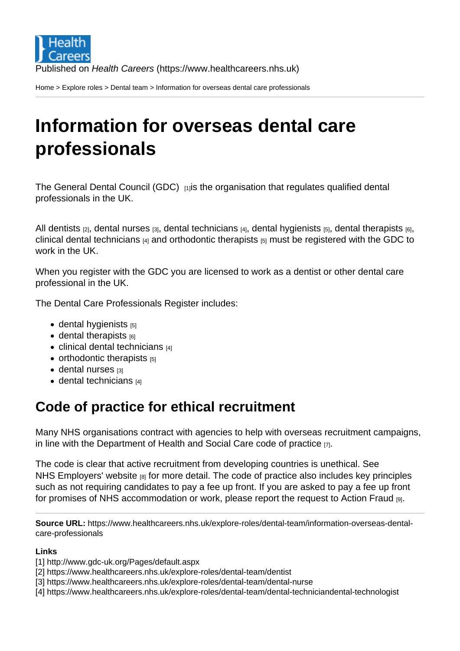Home > Explore roles > Dental team > Information for overseas dental care professionals

## [Inf](https://www.healthcareers.nhs.uk/)[ormat](https://www.healthcareers.nhs.uk/explore-roles/explore-roles)i[on fo](https://www.healthcareers.nhs.uk/explore-roles/dental-team)r overseas dental care professionals

The General Dental Council (GDC) [1] is the organisation that regulates qualified dental professionals in the UK.

All dentists  $_{[2]}$ [, dental nurses](http://www.gdc-uk.org/Pages/default.aspx)  $_{[3]}$ , dental technicians  $_{[4]}$ , dental hygienists  $_{[5]}$ , dental therapists  $_{[6]}$ , clinical dental technicians  $\mu_1$  and orthodontic therapists  $\mu_1$  must be registered with the GDC to work in the UK.

[Wh](https://www.healthcareers.nhs.uk/explore-roles/dental-team/dental-techniciandental-technologist)[en you](https://www.healthcareers.nhs.uk/explore-roles/dental-team/dentist) [regi](https://www.healthcareers.nhs.uk/explore-roles/dental-team/dental-techniciandental-technologist)[ster with the G](https://www.healthcareers.nhs.uk/explore-roles/dental-team/dental-nurse)D[C you are license](https://www.healthcareers.nhs.uk/explore-roles/dental-team/dental-techniciandental-technologist)[d to work as a dentist](https://www.healthcareers.nhs.uk/explore-roles/dental-team/dental-hygienist) or [other dental care](https://www.healthcareers.nhs.uk/explore-roles/dental-team/dental-therapist) professional in the UK.

The Dental Care Professionals Register includes:

- $\bullet$  dental hygienists  $[5]$
- $\bullet$  dental therapists  $[6]$
- $\bullet$  clinical dental technicians  $[4]$
- $\bullet$  [orthodontic thera](https://www.healthcareers.nhs.uk/explore-roles/dental-team/dental-hygienist)pists  $[5]$
- [dental nurses](https://www.healthcareers.nhs.uk/explore-roles/dental-team/dental-therapist) [3]
- $\bullet$  [dental technicians](https://www.healthcareers.nhs.uk/explore-roles/dental-team/dental-techniciandental-technologist)  $[4]$

## Co[de of prac](https://www.healthcareers.nhs.uk/explore-roles/dental-team/dental-nurse)[tice fo](https://www.healthcareers.nhs.uk/explore-roles/dental-team/dental-hygienist)r ethical recruitment

Many NHS organisations contract with agencies to help with overseas recruitment campaigns, in line with the Department of Health and Social Care code of practice  $_{[7]}$ .

The code is clear that active recruitment from developing countries is unethical. See NHS Employers' website [8] for more detail. The code of practice also includes key principles such as not re[quiring candidates to pay a fee up front. If you are asked](https://www.nhsemployers.org/your-workforce/recruit/employer-led-recruitment/international-recruitment/uk-code-of-practice-for-international-recruitment) to pay a fee up front for promises of NHS accommodation or work, please report the request to Action Fraud [9].

Source URL: https://www.healthcareers.nhs.uk/explore-roles/dental-team/information-overseas-dentalcare-professionals

Links

- [1] http://www.gdc-uk.org/Pages/default.aspx
- [2] https://www.healthcareers.nhs.uk/explore-roles/dental-team/dentist
- [3] https://www.healthcareers.nhs.uk/explore-roles/dental-team/dental-nurse
- [4] https://www.healthcareers.nhs.uk/explore-roles/dental-team/dental-techniciandental-technologist